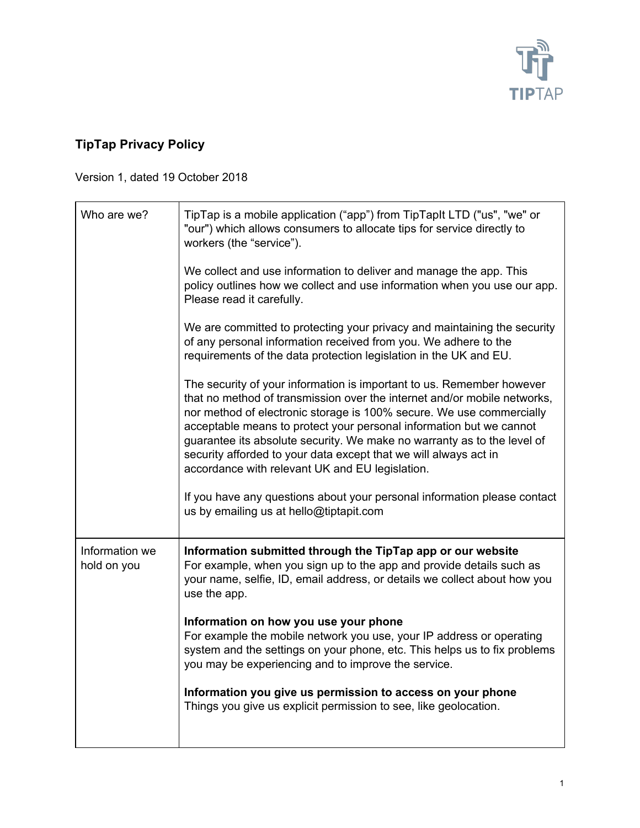

## **TipTap Privacy Policy**

Version 1, dated 19 October 2018

| Who are we?                   | TipTap is a mobile application ("app") from TipTapIt LTD ("us", "we" or<br>"our") which allows consumers to allocate tips for service directly to<br>workers (the "service").                                                                                                                                                                                                                                                                                                                      |
|-------------------------------|----------------------------------------------------------------------------------------------------------------------------------------------------------------------------------------------------------------------------------------------------------------------------------------------------------------------------------------------------------------------------------------------------------------------------------------------------------------------------------------------------|
|                               | We collect and use information to deliver and manage the app. This<br>policy outlines how we collect and use information when you use our app.<br>Please read it carefully.                                                                                                                                                                                                                                                                                                                        |
|                               | We are committed to protecting your privacy and maintaining the security<br>of any personal information received from you. We adhere to the<br>requirements of the data protection legislation in the UK and EU.                                                                                                                                                                                                                                                                                   |
|                               | The security of your information is important to us. Remember however<br>that no method of transmission over the internet and/or mobile networks,<br>nor method of electronic storage is 100% secure. We use commercially<br>acceptable means to protect your personal information but we cannot<br>guarantee its absolute security. We make no warranty as to the level of<br>security afforded to your data except that we will always act in<br>accordance with relevant UK and EU legislation. |
|                               | If you have any questions about your personal information please contact<br>us by emailing us at hello@tiptapit.com                                                                                                                                                                                                                                                                                                                                                                                |
| Information we<br>hold on you | Information submitted through the TipTap app or our website<br>For example, when you sign up to the app and provide details such as<br>your name, selfie, ID, email address, or details we collect about how you<br>use the app.                                                                                                                                                                                                                                                                   |
|                               | Information on how you use your phone<br>For example the mobile network you use, your IP address or operating<br>system and the settings on your phone, etc. This helps us to fix problems<br>you may be experiencing and to improve the service.                                                                                                                                                                                                                                                  |
|                               | Information you give us permission to access on your phone<br>Things you give us explicit permission to see, like geolocation.                                                                                                                                                                                                                                                                                                                                                                     |
|                               |                                                                                                                                                                                                                                                                                                                                                                                                                                                                                                    |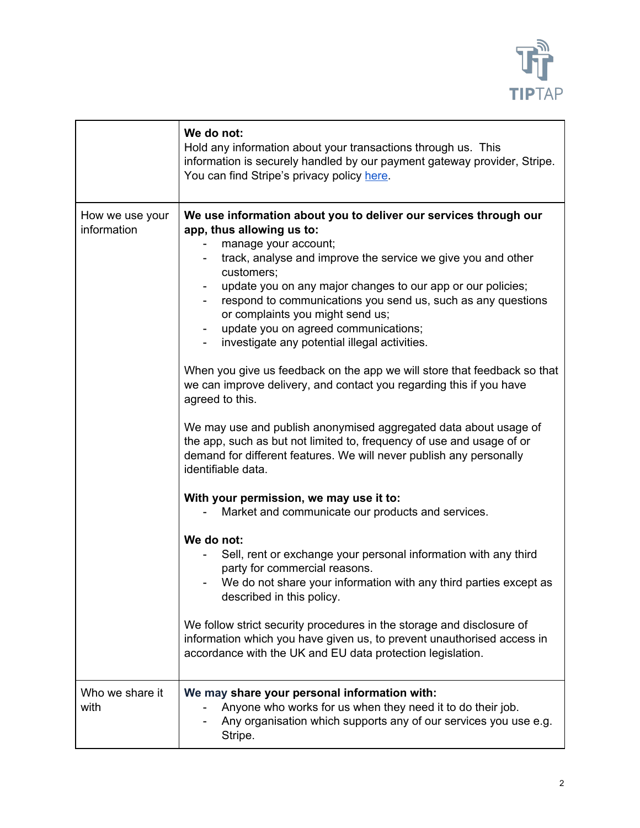

|                                | We do not:<br>Hold any information about your transactions through us. This<br>information is securely handled by our payment gateway provider, Stripe.<br>You can find Stripe's privacy policy here.                                                                                                                                                                                                                                                                                                                                                                                                                                                                                                                                                                                                                                                                                                                                                                                                                                                                                                                                                                                                                                                                                                                                                                                                                                  |
|--------------------------------|----------------------------------------------------------------------------------------------------------------------------------------------------------------------------------------------------------------------------------------------------------------------------------------------------------------------------------------------------------------------------------------------------------------------------------------------------------------------------------------------------------------------------------------------------------------------------------------------------------------------------------------------------------------------------------------------------------------------------------------------------------------------------------------------------------------------------------------------------------------------------------------------------------------------------------------------------------------------------------------------------------------------------------------------------------------------------------------------------------------------------------------------------------------------------------------------------------------------------------------------------------------------------------------------------------------------------------------------------------------------------------------------------------------------------------------|
| How we use your<br>information | We use information about you to deliver our services through our<br>app, thus allowing us to:<br>manage your account;<br>track, analyse and improve the service we give you and other<br>customers;<br>update you on any major changes to our app or our policies;<br>respond to communications you send us, such as any questions<br>or complaints you might send us;<br>update you on agreed communications;<br>$\blacksquare$<br>investigate any potential illegal activities.<br>When you give us feedback on the app we will store that feedback so that<br>we can improve delivery, and contact you regarding this if you have<br>agreed to this.<br>We may use and publish anonymised aggregated data about usage of<br>the app, such as but not limited to, frequency of use and usage of or<br>demand for different features. We will never publish any personally<br>identifiable data.<br>With your permission, we may use it to:<br>Market and communicate our products and services.<br>We do not:<br>Sell, rent or exchange your personal information with any third<br>party for commercial reasons.<br>We do not share your information with any third parties except as<br>described in this policy.<br>We follow strict security procedures in the storage and disclosure of<br>information which you have given us, to prevent unauthorised access in<br>accordance with the UK and EU data protection legislation. |
| Who we share it<br>with        | We may share your personal information with:<br>Anyone who works for us when they need it to do their job.<br>Any organisation which supports any of our services you use e.g.<br>Stripe.                                                                                                                                                                                                                                                                                                                                                                                                                                                                                                                                                                                                                                                                                                                                                                                                                                                                                                                                                                                                                                                                                                                                                                                                                                              |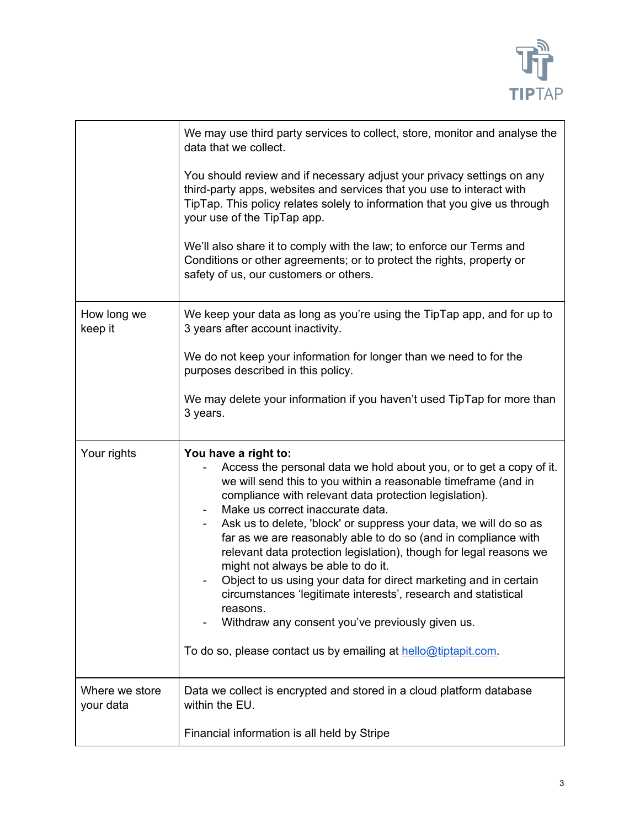

|                             | We may use third party services to collect, store, monitor and analyse the<br>data that we collect.                                                                                                                                                                                                                                                                                                                                                                                                                                                                                                                                                                                                                                                                                    |
|-----------------------------|----------------------------------------------------------------------------------------------------------------------------------------------------------------------------------------------------------------------------------------------------------------------------------------------------------------------------------------------------------------------------------------------------------------------------------------------------------------------------------------------------------------------------------------------------------------------------------------------------------------------------------------------------------------------------------------------------------------------------------------------------------------------------------------|
|                             | You should review and if necessary adjust your privacy settings on any<br>third-party apps, websites and services that you use to interact with<br>TipTap. This policy relates solely to information that you give us through<br>your use of the TipTap app.                                                                                                                                                                                                                                                                                                                                                                                                                                                                                                                           |
|                             | We'll also share it to comply with the law; to enforce our Terms and<br>Conditions or other agreements; or to protect the rights, property or<br>safety of us, our customers or others.                                                                                                                                                                                                                                                                                                                                                                                                                                                                                                                                                                                                |
| How long we<br>keep it      | We keep your data as long as you're using the TipTap app, and for up to<br>3 years after account inactivity.                                                                                                                                                                                                                                                                                                                                                                                                                                                                                                                                                                                                                                                                           |
|                             | We do not keep your information for longer than we need to for the<br>purposes described in this policy.                                                                                                                                                                                                                                                                                                                                                                                                                                                                                                                                                                                                                                                                               |
|                             | We may delete your information if you haven't used TipTap for more than<br>3 years.                                                                                                                                                                                                                                                                                                                                                                                                                                                                                                                                                                                                                                                                                                    |
| Your rights                 | You have a right to:<br>Access the personal data we hold about you, or to get a copy of it.<br>we will send this to you within a reasonable timeframe (and in<br>compliance with relevant data protection legislation).<br>Make us correct inaccurate data.<br>Ask us to delete, 'block' or suppress your data, we will do so as<br>far as we are reasonably able to do so (and in compliance with<br>relevant data protection legislation), though for legal reasons we<br>might not always be able to do it.<br>Object to us using your data for direct marketing and in certain<br>circumstances 'legitimate interests', research and statistical<br>reasons.<br>Withdraw any consent you've previously given us.<br>To do so, please contact us by emailing at hello@tiptapit.com. |
| Where we store<br>your data | Data we collect is encrypted and stored in a cloud platform database<br>within the EU.                                                                                                                                                                                                                                                                                                                                                                                                                                                                                                                                                                                                                                                                                                 |
|                             | Financial information is all held by Stripe                                                                                                                                                                                                                                                                                                                                                                                                                                                                                                                                                                                                                                                                                                                                            |